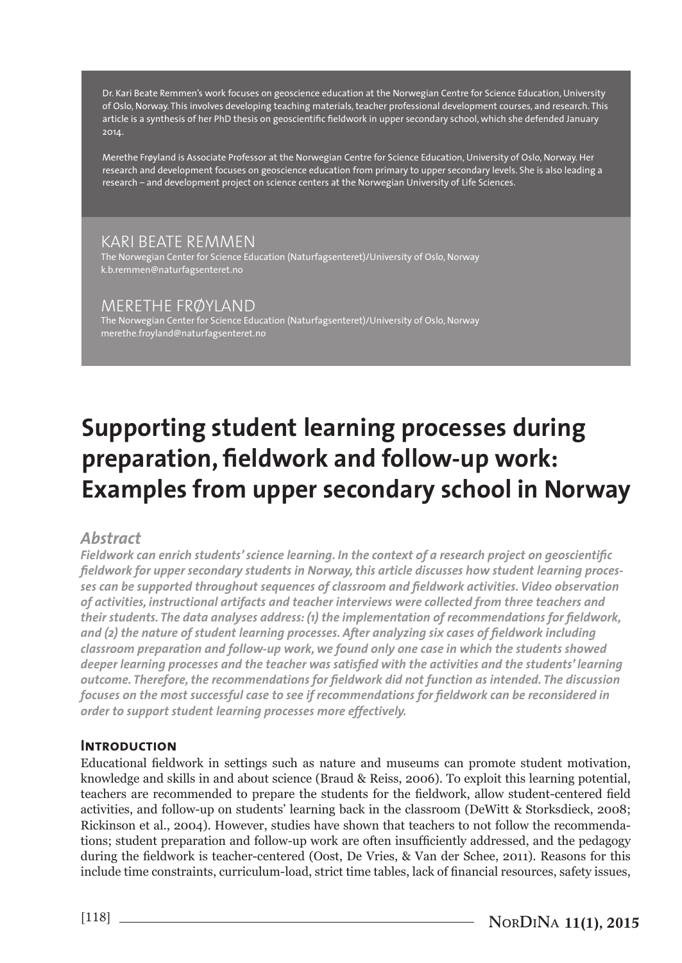Dr. Kari Beate Remmen's work focuses on geoscience education at the Norwegian Centre for Science Education, University of Oslo, Norway. This involves developing teaching materials, teacher professional development courses, and research. This article is a synthesis of her PhD thesis on geoscientific fieldwork in upper secondary school, which she defended January 2014.

Merethe Frøyland is Associate Professor at the Norwegian Centre for Science Education, University of Oslo, Norway. Her research and development focuses on geoscience education from primary to upper secondary levels. She is also leading a research – and development project on science centers at the Norwegian University of Life Sciences.

## KARI BEATE REMMEN

The Norwegian Center for Science Education (Naturfagsenteret)/University of Oslo, Norway k.b.remmen@naturfagsenteret.no

## MERETHE FRØYLAND

The Norwegian Center for Science Education (Naturfagsenteret)/University of Oslo, Norway merethe.froyland@naturfagsenteret.no

# **Supporting student learning processes during preparation, fieldwork and follow-up work: Examples from upper secondary school in Norway**

# *Abstract*

*Fieldwork can enrich students' science learning. In the context of a research project on geoscientific fieldwork for upper secondary students in Norway, this article discusses how student learning processes can be supported throughout sequences of classroom and fieldwork activities. Video observation of activities, instructional artifacts and teacher interviews were collected from three teachers and their students. The data analyses address: (1) the implementation of recommendations for fieldwork, and (2) the nature of student learning processes. After analyzing six cases of fieldwork including classroom preparation and follow-up work, we found only one case in which the students showed deeper learning processes and the teacher was satisfied with the activities and the students' learning outcome. Therefore, the recommendations for fieldwork did not function as intended. The discussion focuses on the most successful case to see if recommendations for fieldwork can be reconsidered in order to support student learning processes more effectively.* 

#### **Introduction**

Educational fieldwork in settings such as nature and museums can promote student motivation, knowledge and skills in and about science (Braud & Reiss, 2006). To exploit this learning potential, teachers are recommended to prepare the students for the fieldwork, allow student-centered field activities, and follow-up on students' learning back in the classroom (DeWitt & Storksdieck, 2008; Rickinson et al., 2004). However, studies have shown that teachers to not follow the recommendations; student preparation and follow-up work are often insufficiently addressed, and the pedagogy during the fieldwork is teacher-centered (Oost, De Vries, & Van der Schee, 2011). Reasons for this include time constraints, curriculum-load, strict time tables, lack of financial resources, safety issues,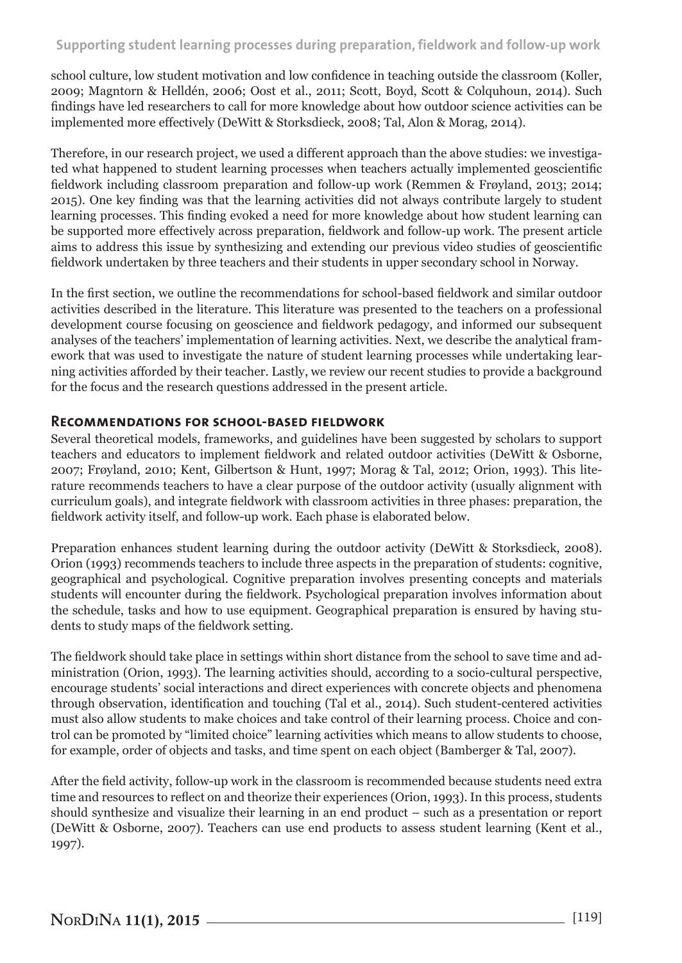# **Supporting student learning processes during preparation, fieldwork and follow-up work**

school culture, low student motivation and low confidence in teaching outside the classroom (Koller, 2009; Magntorn & Helldén, 2006; Oost et al., 2011; Scott, Boyd, Scott & Colquhoun, 2014). Such findings have led researchers to call for more knowledge about how outdoor science activities can be implemented more effectively (DeWitt & Storksdieck, 2008; Tal, Alon & Morag, 2014).

Therefore, in our research project, we used a different approach than the above studies: we investigated what happened to student learning processes when teachers actually implemented geoscientific fieldwork including classroom preparation and follow-up work (Remmen & Frøyland, 2013; 2014; 2015). One key finding was that the learning activities did not always contribute largely to student learning processes. This finding evoked a need for more knowledge about how student learning can be supported more effectively across preparation, fieldwork and follow-up work. The present article aims to address this issue by synthesizing and extending our previous video studies of geoscientific fieldwork undertaken by three teachers and their students in upper secondary school in Norway.

In the first section, we outline the recommendations for school-based fieldwork and similar outdoor activities described in the literature. This literature was presented to the teachers on a professional development course focusing on geoscience and fieldwork pedagogy, and informed our subsequent analyses of the teachers' implementation of learning activities. Next, we describe the analytical framework that was used to investigate the nature of student learning processes while undertaking learning activities afforded by their teacher. Lastly, we review our recent studies to provide a background for the focus and the research questions addressed in the present article.

#### **Recommendations for school-based fieldwork**

Several theoretical models, frameworks, and guidelines have been suggested by scholars to support teachers and educators to implement fieldwork and related outdoor activities (DeWitt & Osborne, 2007; Frøyland, 2010; Kent, Gilbertson & Hunt, 1997; Morag & Tal, 2012; Orion, 1993). This literature recommends teachers to have a clear purpose of the outdoor activity (usually alignment with curriculum goals), and integrate fieldwork with classroom activities in three phases: preparation, the fieldwork activity itself, and follow-up work. Each phase is elaborated below.

Preparation enhances student learning during the outdoor activity (DeWitt & Storksdieck, 2008). Orion (1993) recommends teachers to include three aspects in the preparation of students: cognitive, geographical and psychological. Cognitive preparation involves presenting concepts and materials students will encounter during the fieldwork. Psychological preparation involves information about the schedule, tasks and how to use equipment. Geographical preparation is ensured by having students to study maps of the fieldwork setting.

The fieldwork should take place in settings within short distance from the school to save time and administration (Orion, 1993). The learning activities should, according to a socio-cultural perspective, encourage students' social interactions and direct experiences with concrete objects and phenomena through observation, identification and touching (Tal et al., 2014). Such student-centered activities must also allow students to make choices and take control of their learning process. Choice and control can be promoted by "limited choice" learning activities which means to allow students to choose, for example, order of objects and tasks, and time spent on each object (Bamberger & Tal, 2007).

After the field activity, follow-up work in the classroom is recommended because students need extra time and resources to reflect on and theorize their experiences (Orion, 1993). In this process, students should synthesize and visualize their learning in an end product – such as a presentation or report (DeWitt & Osborne, 2007). Teachers can use end products to assess student learning (Kent et al., 1997).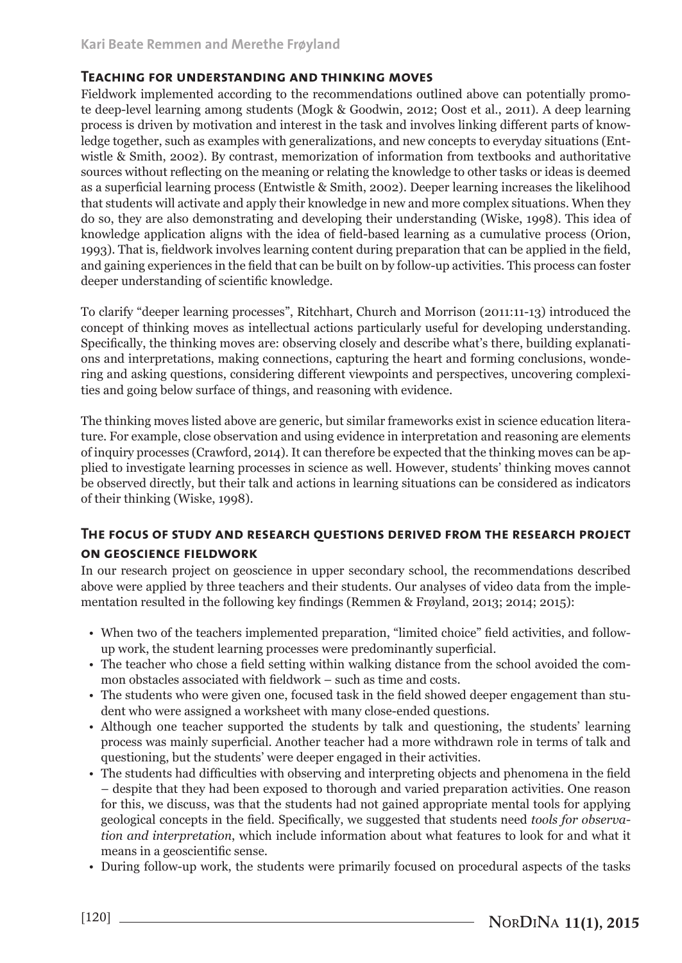#### **Teaching for understanding and thinking moves**

Fieldwork implemented according to the recommendations outlined above can potentially promote deep-level learning among students (Mogk & Goodwin, 2012; Oost et al., 2011). A deep learning process is driven by motivation and interest in the task and involves linking different parts of knowledge together, such as examples with generalizations, and new concepts to everyday situations (Entwistle & Smith, 2002). By contrast, memorization of information from textbooks and authoritative sources without reflecting on the meaning or relating the knowledge to other tasks or ideas is deemed as a superficial learning process (Entwistle & Smith, 2002). Deeper learning increases the likelihood that students will activate and apply their knowledge in new and more complex situations. When they do so, they are also demonstrating and developing their understanding (Wiske, 1998). This idea of knowledge application aligns with the idea of field-based learning as a cumulative process (Orion, 1993). That is, fieldwork involves learning content during preparation that can be applied in the field, and gaining experiences in the field that can be built on by follow-up activities. This process can foster deeper understanding of scientific knowledge.

To clarify "deeper learning processes", Ritchhart, Church and Morrison (2011:11-13) introduced the concept of thinking moves as intellectual actions particularly useful for developing understanding. Specifically, the thinking moves are: observing closely and describe what's there, building explanations and interpretations, making connections, capturing the heart and forming conclusions, wondering and asking questions, considering different viewpoints and perspectives, uncovering complexities and going below surface of things, and reasoning with evidence.

The thinking moves listed above are generic, but similar frameworks exist in science education literature. For example, close observation and using evidence in interpretation and reasoning are elements of inquiry processes (Crawford, 2014). It can therefore be expected that the thinking moves can be applied to investigate learning processes in science as well. However, students' thinking moves cannot be observed directly, but their talk and actions in learning situations can be considered as indicators of their thinking (Wiske, 1998).

## **The focus of study and research questions derived from the research project**

#### **on geoscience fieldwork**

In our research project on geoscience in upper secondary school, the recommendations described above were applied by three teachers and their students. Our analyses of video data from the implementation resulted in the following key findings (Remmen & Frøyland, 2013; 2014; 2015):

- When two of the teachers implemented preparation, "limited choice" field activities, and followup work, the student learning processes were predominantly superficial.
- The teacher who chose a field setting within walking distance from the school avoided the common obstacles associated with fieldwork – such as time and costs.
- The students who were given one, focused task in the field showed deeper engagement than student who were assigned a worksheet with many close-ended questions.
- Although one teacher supported the students by talk and questioning, the students' learning process was mainly superficial. Another teacher had a more withdrawn role in terms of talk and questioning, but the students' were deeper engaged in their activities.
- The students had difficulties with observing and interpreting objects and phenomena in the field – despite that they had been exposed to thorough and varied preparation activities. One reason for this, we discuss, was that the students had not gained appropriate mental tools for applying geological concepts in the field. Specifically, we suggested that students need *tools for observation and interpretation*, which include information about what features to look for and what it means in a geoscientific sense.
- During follow-up work, the students were primarily focused on procedural aspects of the tasks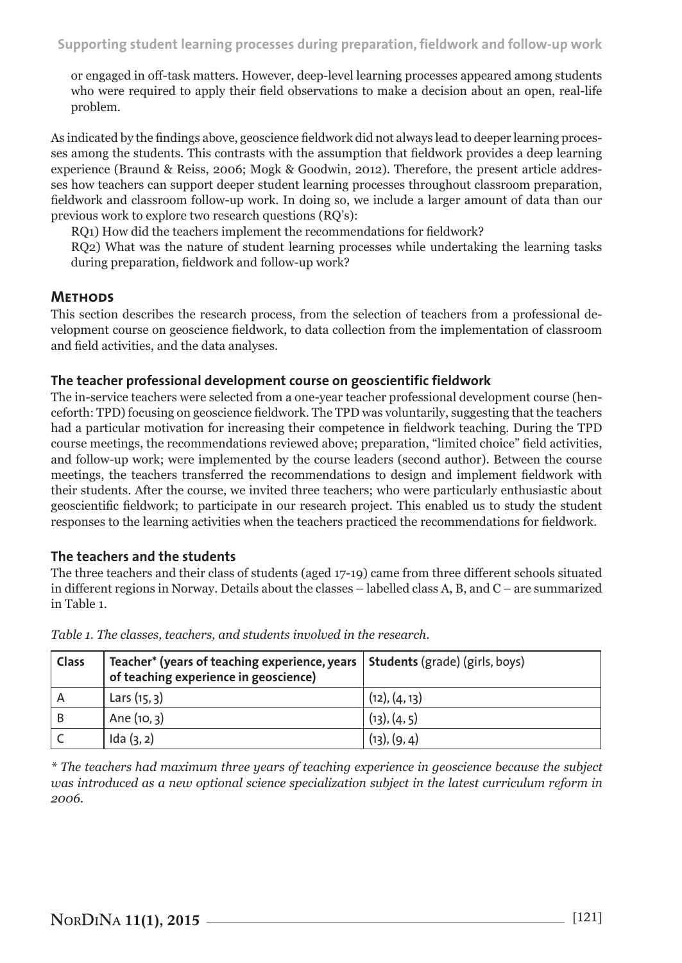or engaged in off-task matters. However, deep-level learning processes appeared among students who were required to apply their field observations to make a decision about an open, real-life problem.

As indicated by the findings above, geoscience fieldwork did not always lead to deeper learning processes among the students. This contrasts with the assumption that fieldwork provides a deep learning experience (Braund & Reiss, 2006; Mogk & Goodwin, 2012). Therefore, the present article addresses how teachers can support deeper student learning processes throughout classroom preparation, fieldwork and classroom follow-up work. In doing so, we include a larger amount of data than our previous work to explore two research questions (RQ's):

RQ1) How did the teachers implement the recommendations for fieldwork?

RQ2) What was the nature of student learning processes while undertaking the learning tasks during preparation, fieldwork and follow-up work?

# **Methods**

This section describes the research process, from the selection of teachers from a professional development course on geoscience fieldwork, to data collection from the implementation of classroom and field activities, and the data analyses.

#### **The teacher professional development course on geoscientific fieldwork**

The in-service teachers were selected from a one-year teacher professional development course (henceforth: TPD) focusing on geoscience fieldwork. The TPD was voluntarily, suggesting that the teachers had a particular motivation for increasing their competence in fieldwork teaching. During the TPD course meetings, the recommendations reviewed above; preparation, "limited choice" field activities, and follow-up work; were implemented by the course leaders (second author). Between the course meetings, the teachers transferred the recommendations to design and implement fieldwork with their students. After the course, we invited three teachers; who were particularly enthusiastic about geoscientific fieldwork; to participate in our research project. This enabled us to study the student responses to the learning activities when the teachers practiced the recommendations for fieldwork.

#### **The teachers and the students**

The three teachers and their class of students (aged 17-19) came from three different schools situated in different regions in Norway. Details about the classes – labelled class A, B, and C – are summarized in Table 1.

| <b>Class</b> | Teacher* (years of teaching experience, years   Students (grade) (girls, boys)<br>of teaching experience in geoscience) |               |
|--------------|-------------------------------------------------------------------------------------------------------------------------|---------------|
| A            | Lars(15, 3)                                                                                                             | (12), (4, 13) |
|              | Ane (10, 3)                                                                                                             | (13), (4, 5)  |
|              | Ida(3, 2)                                                                                                               | (13), (9,4)   |

*Table 1. The classes, teachers, and students involved in the research.*

*\* The teachers had maximum three years of teaching experience in geoscience because the subject was introduced as a new optional science specialization subject in the latest curriculum reform in 2006.*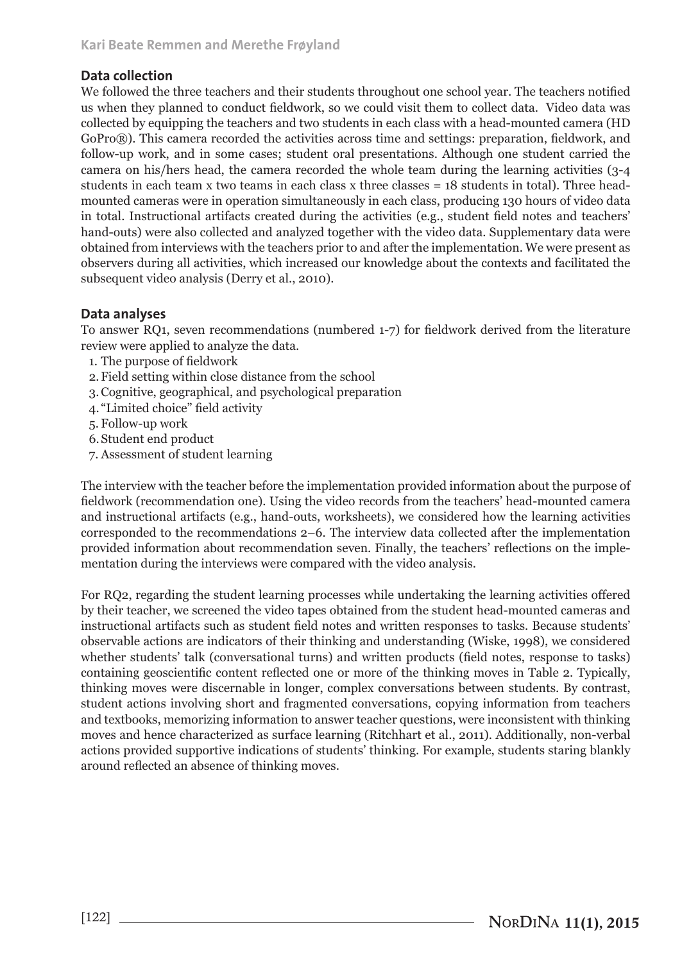## **Data collection**

We followed the three teachers and their students throughout one school year. The teachers notified us when they planned to conduct fieldwork, so we could visit them to collect data. Video data was collected by equipping the teachers and two students in each class with a head-mounted camera (HD GoPro®). This camera recorded the activities across time and settings: preparation, fieldwork, and follow-up work, and in some cases; student oral presentations. Although one student carried the camera on his/hers head, the camera recorded the whole team during the learning activities (3-4 students in each team x two teams in each class x three classes = 18 students in total). Three headmounted cameras were in operation simultaneously in each class, producing 130 hours of video data in total. Instructional artifacts created during the activities (e.g., student field notes and teachers' hand-outs) were also collected and analyzed together with the video data. Supplementary data were obtained from interviews with the teachers prior to and after the implementation. We were present as observers during all activities, which increased our knowledge about the contexts and facilitated the subsequent video analysis (Derry et al., 2010).

## **Data analyses**

To answer RQ1, seven recommendations (numbered 1-7) for fieldwork derived from the literature review were applied to analyze the data.

- 1. The purpose of fieldwork
- 2.Field setting within close distance from the school
- 3.Cognitive, geographical, and psychological preparation
- 4. "Limited choice" field activity
- 5. Follow-up work
- 6.Student end product
- 7. Assessment of student learning

The interview with the teacher before the implementation provided information about the purpose of fieldwork (recommendation one). Using the video records from the teachers' head-mounted camera and instructional artifacts (e.g., hand-outs, worksheets), we considered how the learning activities corresponded to the recommendations 2–6. The interview data collected after the implementation provided information about recommendation seven. Finally, the teachers' reflections on the implementation during the interviews were compared with the video analysis.

For RQ2, regarding the student learning processes while undertaking the learning activities offered by their teacher, we screened the video tapes obtained from the student head-mounted cameras and instructional artifacts such as student field notes and written responses to tasks. Because students' observable actions are indicators of their thinking and understanding (Wiske, 1998), we considered whether students' talk (conversational turns) and written products (field notes, response to tasks) containing geoscientific content reflected one or more of the thinking moves in Table 2. Typically, thinking moves were discernable in longer, complex conversations between students. By contrast, student actions involving short and fragmented conversations, copying information from teachers and textbooks, memorizing information to answer teacher questions, were inconsistent with thinking moves and hence characterized as surface learning (Ritchhart et al., 2011). Additionally, non-verbal actions provided supportive indications of students' thinking. For example, students staring blankly around reflected an absence of thinking moves.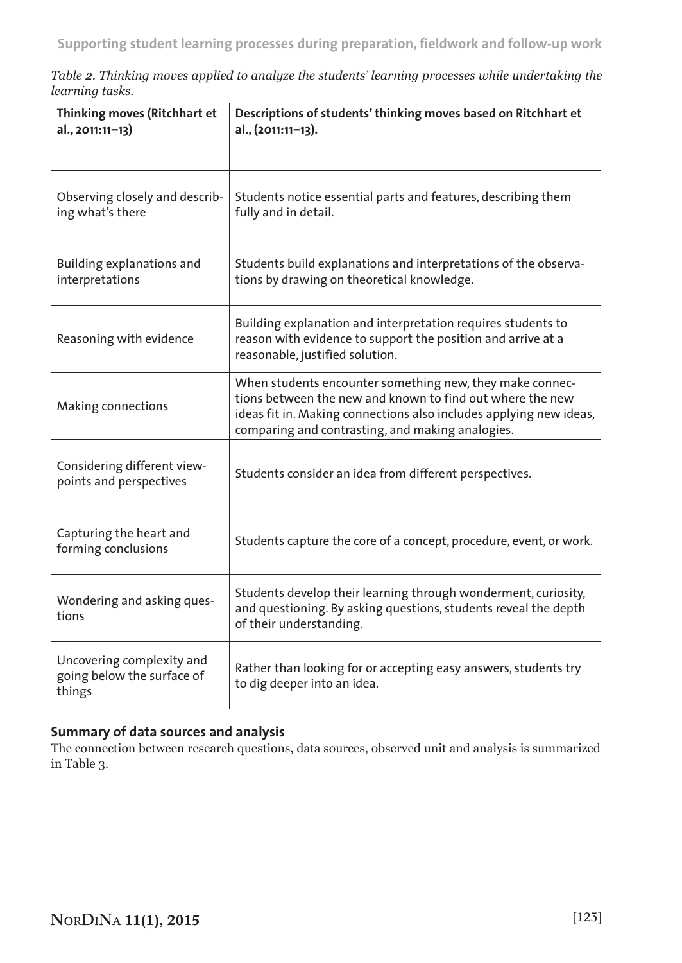*Table 2. Thinking moves applied to analyze the students' learning processes while undertaking the learning tasks.*

| Thinking moves (Ritchhart et<br>al., 2011:11-13)                  | Descriptions of students' thinking moves based on Ritchhart et<br>al., (2011:11-13).                                                                                                                                                            |
|-------------------------------------------------------------------|-------------------------------------------------------------------------------------------------------------------------------------------------------------------------------------------------------------------------------------------------|
| Observing closely and describ-<br>ing what's there                | Students notice essential parts and features, describing them<br>fully and in detail.                                                                                                                                                           |
| Building explanations and<br>interpretations                      | Students build explanations and interpretations of the observa-<br>tions by drawing on theoretical knowledge.                                                                                                                                   |
| Reasoning with evidence                                           | Building explanation and interpretation requires students to<br>reason with evidence to support the position and arrive at a<br>reasonable, justified solution.                                                                                 |
| Making connections                                                | When students encounter something new, they make connec-<br>tions between the new and known to find out where the new<br>ideas fit in. Making connections also includes applying new ideas,<br>comparing and contrasting, and making analogies. |
| Considering different view-<br>points and perspectives            | Students consider an idea from different perspectives.                                                                                                                                                                                          |
| Capturing the heart and<br>forming conclusions                    | Students capture the core of a concept, procedure, event, or work.                                                                                                                                                                              |
| Wondering and asking ques-<br>tions                               | Students develop their learning through wonderment, curiosity,<br>and questioning. By asking questions, students reveal the depth<br>of their understanding.                                                                                    |
| Uncovering complexity and<br>going below the surface of<br>things | Rather than looking for or accepting easy answers, students try<br>to dig deeper into an idea.                                                                                                                                                  |

# **Summary of data sources and analysis**

The connection between research questions, data sources, observed unit and analysis is summarized in Table 3.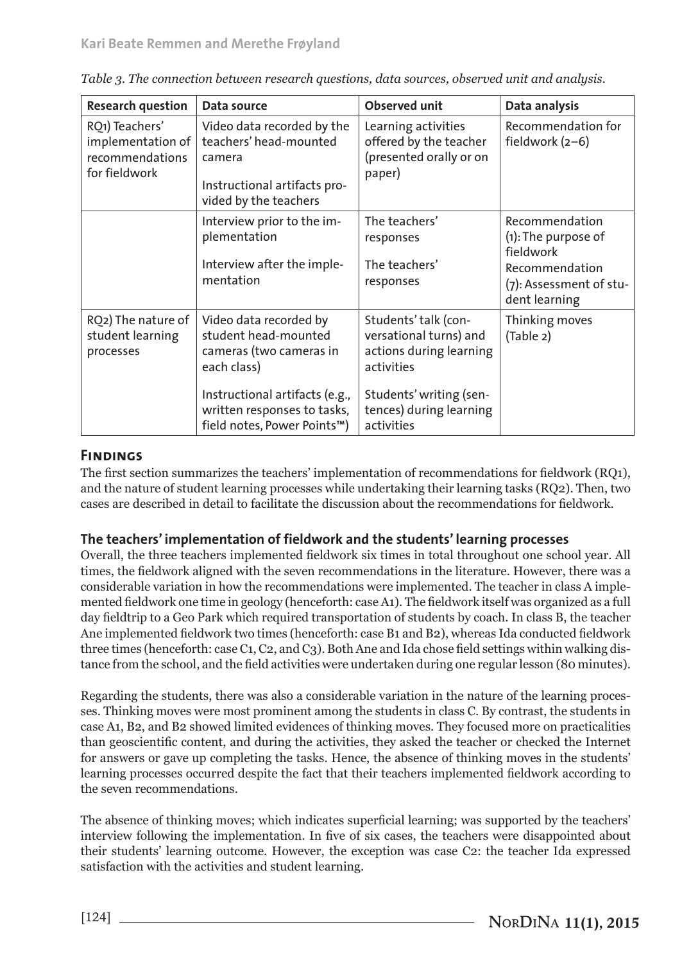| <b>Research question</b>                                                | Data source                                                                                                                                                                              | <b>Observed unit</b>                                                                                                                                        | Data analysis                                                                                                       |
|-------------------------------------------------------------------------|------------------------------------------------------------------------------------------------------------------------------------------------------------------------------------------|-------------------------------------------------------------------------------------------------------------------------------------------------------------|---------------------------------------------------------------------------------------------------------------------|
| RQ1) Teachers'<br>implementation of<br>recommendations<br>for fieldwork | Video data recorded by the<br>teachers' head-mounted<br>camera<br>Instructional artifacts pro-<br>vided by the teachers                                                                  | Learning activities<br>offered by the teacher<br>(presented orally or on<br>paper)                                                                          | Recommendation for<br>fieldwork $(2-6)$                                                                             |
|                                                                         | Interview prior to the im-<br>plementation<br>Interview after the imple-<br>mentation                                                                                                    | The teachers'<br>responses<br>The teachers'<br>responses                                                                                                    | Recommendation<br>$(1)$ : The purpose of<br>fieldwork<br>Recommendation<br>(7): Assessment of stu-<br>dent learning |
| RO <sub>2</sub> ) The nature of<br>student learning<br>processes        | Video data recorded by<br>student head-mounted<br>cameras (two cameras in<br>each class)<br>Instructional artifacts (e.g.,<br>written responses to tasks,<br>field notes, Power Points™) | Students' talk (con-<br>versational turns) and<br>actions during learning<br>activities<br>Students' writing (sen-<br>tences) during learning<br>activities | Thinking moves<br>(Table 2)                                                                                         |

| Table 3. The connection between research questions, data sources, observed unit and analysis. |  |  |
|-----------------------------------------------------------------------------------------------|--|--|
|                                                                                               |  |  |
|                                                                                               |  |  |

# **Findings**

The first section summarizes the teachers' implementation of recommendations for fieldwork (RQ1), and the nature of student learning processes while undertaking their learning tasks (RQ2). Then, two cases are described in detail to facilitate the discussion about the recommendations for fieldwork.

## **The teachers' implementation of fieldwork and the students' learning processes**

Overall, the three teachers implemented fieldwork six times in total throughout one school year. All times, the fieldwork aligned with the seven recommendations in the literature. However, there was a considerable variation in how the recommendations were implemented. The teacher in class A implemented fieldwork one time in geology (henceforth: case A1). The fieldwork itself was organized as a full day fieldtrip to a Geo Park which required transportation of students by coach. In class B, the teacher Ane implemented fieldwork two times (henceforth: case B1 and B2), whereas Ida conducted fieldwork three times (henceforth: case C1, C2, and C3). Both Ane and Ida chose field settings within walking distance from the school, and the field activities were undertaken during one regular lesson (80 minutes).

Regarding the students, there was also a considerable variation in the nature of the learning processes. Thinking moves were most prominent among the students in class C. By contrast, the students in case A1, B2, and B2 showed limited evidences of thinking moves. They focused more on practicalities than geoscientific content, and during the activities, they asked the teacher or checked the Internet for answers or gave up completing the tasks. Hence, the absence of thinking moves in the students' learning processes occurred despite the fact that their teachers implemented fieldwork according to the seven recommendations.

The absence of thinking moves; which indicates superficial learning; was supported by the teachers' interview following the implementation. In five of six cases, the teachers were disappointed about their students' learning outcome. However, the exception was case C2: the teacher Ida expressed satisfaction with the activities and student learning.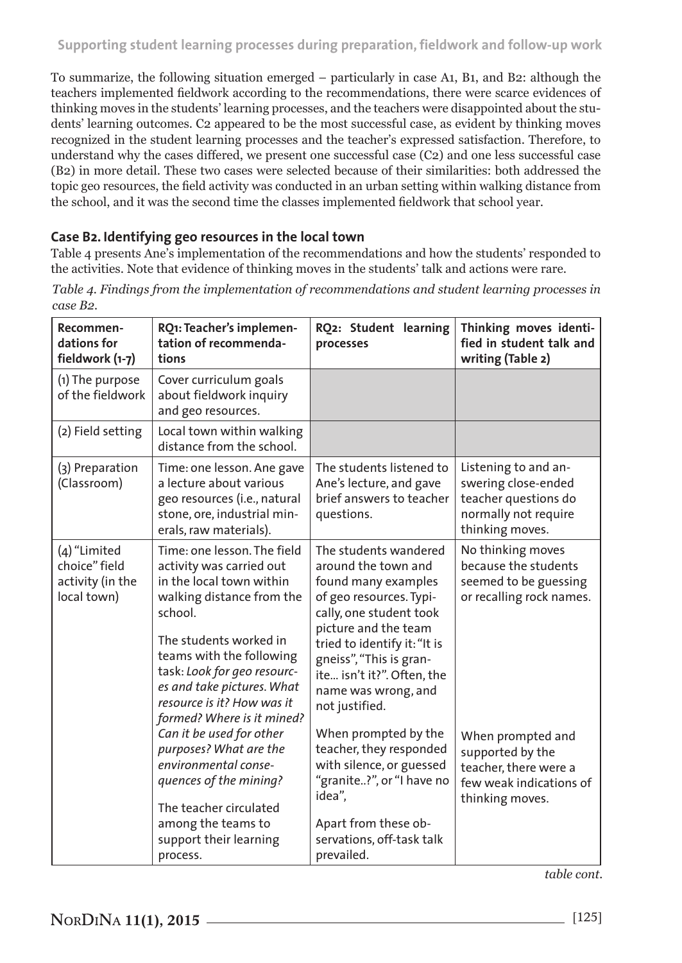To summarize, the following situation emerged – particularly in case A1, B1, and B2: although the teachers implemented fieldwork according to the recommendations, there were scarce evidences of thinking moves in the students' learning processes, and the teachers were disappointed about the students' learning outcomes. C2 appeared to be the most successful case, as evident by thinking moves recognized in the student learning processes and the teacher's expressed satisfaction. Therefore, to understand why the cases differed, we present one successful case (C2) and one less successful case (B2) in more detail. These two cases were selected because of their similarities: both addressed the topic geo resources, the field activity was conducted in an urban setting within walking distance from the school, and it was the second time the classes implemented fieldwork that school year.

#### **Case B2. Identifying geo resources in the local town**

Table 4 presents Ane's implementation of the recommendations and how the students' responded to the activities. Note that evidence of thinking moves in the students' talk and actions were rare.

| Recommen-<br>dations for<br>fieldwork (1-7)                      | RQ1: Teacher's implemen-<br>tation of recommenda-<br>tions                                                                                                                                                                                                                                                                                                                               | RQ2: Student learning<br>processes                                                                                                                                                                                                                                                                                                                                 | Thinking moves identi-<br>fied in student talk and<br>writing (Table 2)                                                                                          |
|------------------------------------------------------------------|------------------------------------------------------------------------------------------------------------------------------------------------------------------------------------------------------------------------------------------------------------------------------------------------------------------------------------------------------------------------------------------|--------------------------------------------------------------------------------------------------------------------------------------------------------------------------------------------------------------------------------------------------------------------------------------------------------------------------------------------------------------------|------------------------------------------------------------------------------------------------------------------------------------------------------------------|
| (1) The purpose<br>of the fieldwork                              | Cover curriculum goals<br>about fieldwork inquiry<br>and geo resources.                                                                                                                                                                                                                                                                                                                  |                                                                                                                                                                                                                                                                                                                                                                    |                                                                                                                                                                  |
| (2) Field setting                                                | Local town within walking<br>distance from the school.                                                                                                                                                                                                                                                                                                                                   |                                                                                                                                                                                                                                                                                                                                                                    |                                                                                                                                                                  |
| (3) Preparation<br>(Classroom)                                   | Time: one lesson. Ane gave<br>a lecture about various<br>geo resources (i.e., natural<br>stone, ore, industrial min-<br>erals, raw materials).                                                                                                                                                                                                                                           | The students listened to<br>Ane's lecture, and gave<br>brief answers to teacher<br>questions.                                                                                                                                                                                                                                                                      | Listening to and an-<br>swering close-ended<br>teacher questions do<br>normally not require<br>thinking moves.                                                   |
| (4) "Limited<br>choice" field<br>activity (in the<br>local town) | Time: one lesson. The field<br>activity was carried out<br>in the local town within<br>walking distance from the<br>school.<br>The students worked in<br>teams with the following<br>task: Look for geo resourc-<br>es and take pictures. What<br>resource is it? How was it<br>formed? Where is it mined?<br>Can it be used for other<br>purposes? What are the<br>environmental conse- | The students wandered<br>around the town and<br>found many examples<br>of geo resources. Typi-<br>cally, one student took<br>picture and the team<br>tried to identify it: "It is<br>gneiss", "This is gran-<br>ite isn't it?". Often, the<br>name was wrong, and<br>not justified.<br>When prompted by the<br>teacher, they responded<br>with silence, or guessed | No thinking moves<br>because the students<br>seemed to be guessing<br>or recalling rock names.<br>When prompted and<br>supported by the<br>teacher, there were a |
|                                                                  | quences of the mining?<br>The teacher circulated<br>among the teams to<br>support their learning<br>process.                                                                                                                                                                                                                                                                             | "granite?", or "I have no<br>idea".<br>Apart from these ob-<br>servations, off-task talk<br>prevailed.                                                                                                                                                                                                                                                             | few weak indications of<br>thinking moves.                                                                                                                       |

*Table 4. Findings from the implementation of recommendations and student learning processes in case B2.*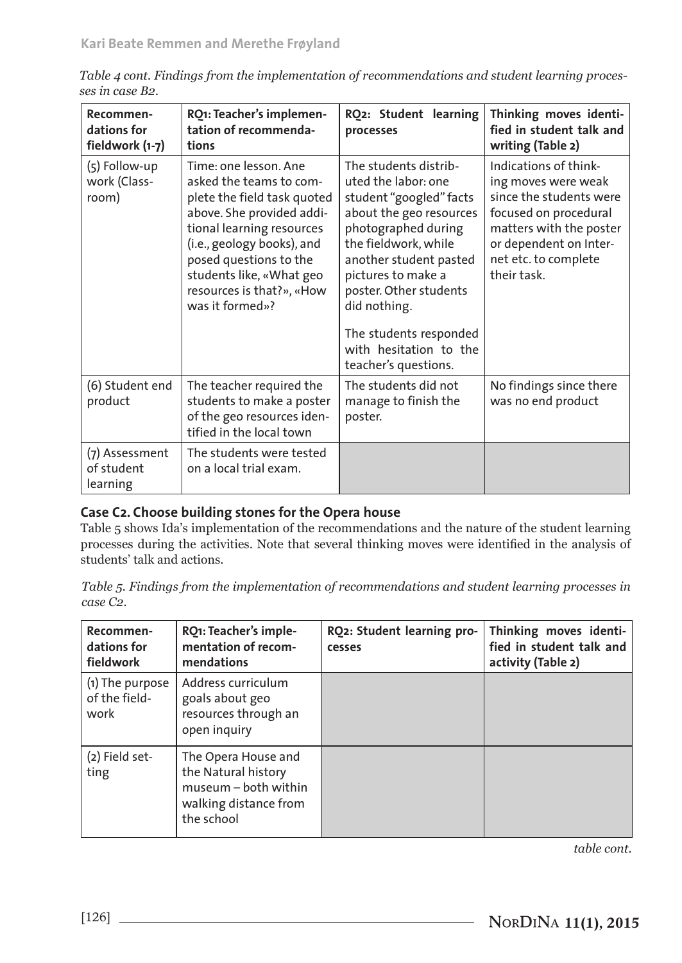| Recommen-<br>dations for<br>fieldwork (1-7) | RQ1: Teacher's implemen-<br>tation of recommenda-<br>tions                                                                                                                                                                                                                    | RQ2: Student learning<br>processes                                                                                                                                                                                                                                                                                      | Thinking moves identi-<br>fied in student talk and<br>writing (Table 2)                                                                                                                      |
|---------------------------------------------|-------------------------------------------------------------------------------------------------------------------------------------------------------------------------------------------------------------------------------------------------------------------------------|-------------------------------------------------------------------------------------------------------------------------------------------------------------------------------------------------------------------------------------------------------------------------------------------------------------------------|----------------------------------------------------------------------------------------------------------------------------------------------------------------------------------------------|
| (5) Follow-up<br>work (Class-<br>room)      | Time: one lesson. Ane<br>asked the teams to com-<br>plete the field task quoted<br>above. She provided addi-<br>tional learning resources<br>(i.e., geology books), and<br>posed questions to the<br>students like, «What geo<br>resources is that?», «How<br>was it formed»? | The students distrib-<br>uted the labor: one<br>student "googled" facts<br>about the geo resources<br>photographed during<br>the fieldwork, while<br>another student pasted<br>pictures to make a<br>poster. Other students<br>did nothing.<br>The students responded<br>with hesitation to the<br>teacher's questions. | Indications of think-<br>ing moves were weak<br>since the students were<br>focused on procedural<br>matters with the poster<br>or dependent on Inter-<br>net etc. to complete<br>their task. |
| (6) Student end<br>product                  | The teacher required the<br>students to make a poster<br>of the geo resources iden-<br>tified in the local town                                                                                                                                                               | The students did not<br>manage to finish the<br>poster.                                                                                                                                                                                                                                                                 | No findings since there<br>was no end product                                                                                                                                                |
| (7) Assessment<br>of student<br>learning    | The students were tested<br>on a local trial exam.                                                                                                                                                                                                                            |                                                                                                                                                                                                                                                                                                                         |                                                                                                                                                                                              |

*Table 4 cont. Findings from the implementation of recommendations and student learning processes in case B2.* 

## **Case C2. Choose building stones for the Opera house**

Table 5 shows Ida's implementation of the recommendations and the nature of the student learning processes during the activities. Note that several thinking moves were identified in the analysis of students' talk and actions.

*Table 5. Findings from the implementation of recommendations and student learning processes in case C2.*

| Recommen-<br>dations for<br>fieldwork    | RQ1: Teacher's imple-<br>mentation of recom-<br>mendations                                                | RQ2: Student learning pro-<br>cesses | Thinking moves identi-<br>fied in student talk and<br>activity (Table 2) |
|------------------------------------------|-----------------------------------------------------------------------------------------------------------|--------------------------------------|--------------------------------------------------------------------------|
| (1) The purpose<br>of the field-<br>work | Address curriculum<br>goals about geo<br>resources through an<br>open inquiry                             |                                      |                                                                          |
| (2) Field set-<br>ting                   | The Opera House and<br>the Natural history<br>museum - both within<br>walking distance from<br>the school |                                      |                                                                          |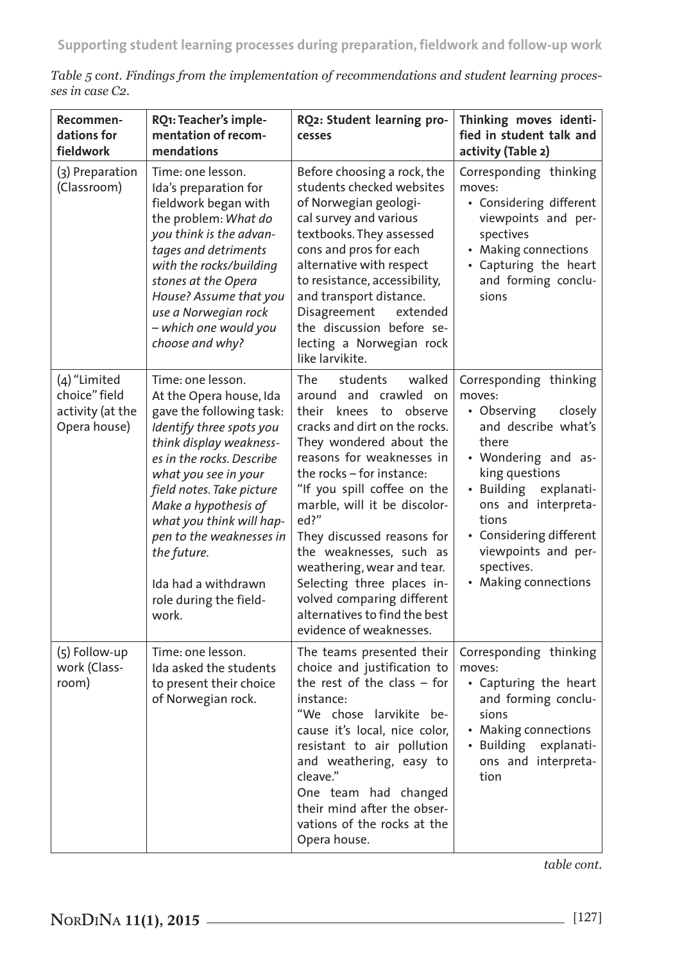| Recommen-<br>dations for<br>fieldwork                             | RQ1: Teacher's imple-<br>mentation of recom-<br>mendations                                                                                                                                                                                                                                                                                                                 | RQ2: Student learning pro-<br>cesses                                                                                                                                                                                                                                                                                                                                                                                                                                                        | Thinking moves identi-<br>fied in student talk and<br>activity (Table 2)                                                                                                                                                                                                                |
|-------------------------------------------------------------------|----------------------------------------------------------------------------------------------------------------------------------------------------------------------------------------------------------------------------------------------------------------------------------------------------------------------------------------------------------------------------|---------------------------------------------------------------------------------------------------------------------------------------------------------------------------------------------------------------------------------------------------------------------------------------------------------------------------------------------------------------------------------------------------------------------------------------------------------------------------------------------|-----------------------------------------------------------------------------------------------------------------------------------------------------------------------------------------------------------------------------------------------------------------------------------------|
| (3) Preparation<br>(Classroom)                                    | Time: one lesson.<br>Ida's preparation for<br>fieldwork began with<br>the problem: What do<br>you think is the advan-<br>tages and detriments<br>with the rocks/building<br>stones at the Opera<br>House? Assume that you<br>use a Norwegian rock<br>- which one would you<br>choose and why?                                                                              | Before choosing a rock, the<br>students checked websites<br>of Norwegian geologi-<br>cal survey and various<br>textbooks. They assessed<br>cons and pros for each<br>alternative with respect<br>to resistance, accessibility,<br>and transport distance.<br>Disagreement<br>extended<br>the discussion before se-<br>lecting a Norwegian rock<br>like larvikite.                                                                                                                           | Corresponding thinking<br>moves:<br>• Considering different<br>viewpoints and per-<br>spectives<br>• Making connections<br>• Capturing the heart<br>and forming conclu-<br>sions                                                                                                        |
| (4) "Limited<br>choice" field<br>activity (at the<br>Opera house) | Time: one lesson.<br>At the Opera house, Ida<br>gave the following task:<br>Identify three spots you<br>think display weakness-<br>es in the rocks. Describe<br>what you see in your<br>field notes. Take picture<br>Make a hypothesis of<br>what you think will hap-<br>pen to the weaknesses in<br>the future.<br>Ida had a withdrawn<br>role during the field-<br>work. | The<br>walked<br>students<br>around and crawled on<br>their knees to<br>observe<br>cracks and dirt on the rocks.<br>They wondered about the<br>reasons for weaknesses in<br>the rocks - for instance:<br>"If you spill coffee on the<br>marble, will it be discolor-<br>ed?"<br>They discussed reasons for<br>the weaknesses, such as<br>weathering, wear and tear.<br>Selecting three places in-<br>volved comparing different<br>alternatives to find the best<br>evidence of weaknesses. | Corresponding thinking<br>moves:<br>• Observing<br>closely<br>and describe what's<br>there<br>• Wondering and as-<br>king questions<br>• Building<br>explanati-<br>ons and interpreta-<br>tions<br>• Considering different<br>viewpoints and per-<br>spectives.<br>• Making connections |
| (5) Follow-up<br>work (Class-<br>room)                            | Time: one lesson.<br>Ida asked the students<br>to present their choice<br>of Norwegian rock.                                                                                                                                                                                                                                                                               | The teams presented their<br>choice and justification to<br>the rest of the class $-$ for<br>instance:<br>"We chose larvikite be-<br>cause it's local, nice color,<br>resistant to air pollution<br>and weathering, easy to<br>cleave."<br>One team had changed<br>their mind after the obser-<br>vations of the rocks at the<br>Opera house.                                                                                                                                               | Corresponding thinking<br>moves:<br>• Capturing the heart<br>and forming conclu-<br>sions<br>• Making connections<br>• Building explanati-<br>ons and interpreta-<br>tion                                                                                                               |

*Table 5 cont. Findings from the implementation of recommendations and student learning processes in case C2.*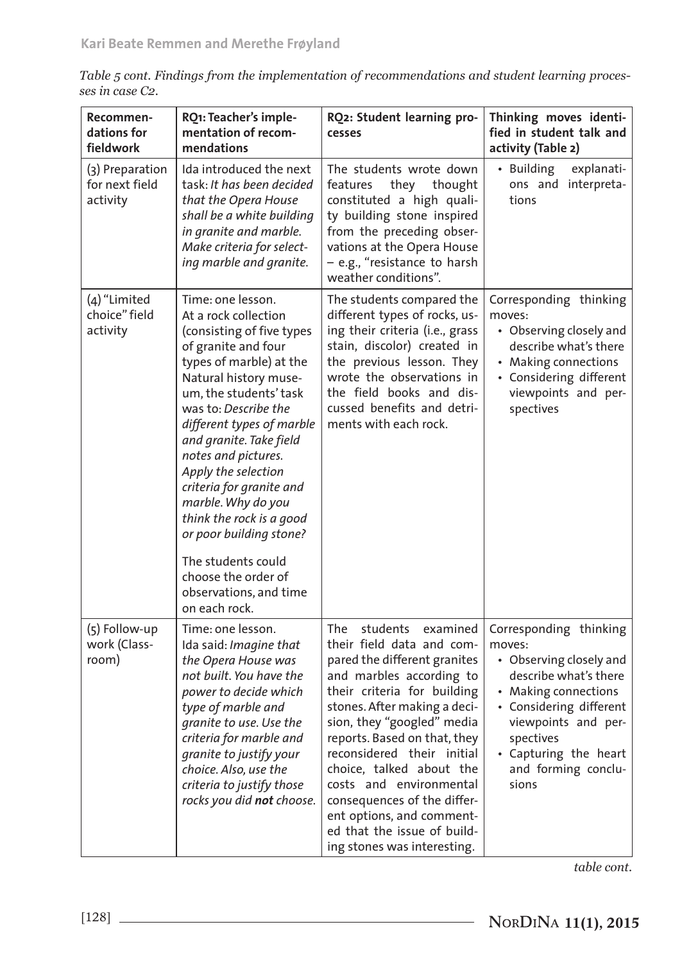| Table 5 cont. Findings from the implementation of recommendations and student learning proces- |  |
|------------------------------------------------------------------------------------------------|--|
| ses in case C2.                                                                                |  |

| Recommen-<br>dations for<br>fieldwork         | RQ1: Teacher's imple-<br>mentation of recom-<br>mendations                                                                                                                                                                                                                                                                                                                                                                                                                                                 | RQ2: Student learning pro-<br>cesses                                                                                                                                                                                                                                                                                                                                                                                                                             | Thinking moves identi-<br>fied in student talk and<br>activity (Table 2)                                                                                                                                                             |
|-----------------------------------------------|------------------------------------------------------------------------------------------------------------------------------------------------------------------------------------------------------------------------------------------------------------------------------------------------------------------------------------------------------------------------------------------------------------------------------------------------------------------------------------------------------------|------------------------------------------------------------------------------------------------------------------------------------------------------------------------------------------------------------------------------------------------------------------------------------------------------------------------------------------------------------------------------------------------------------------------------------------------------------------|--------------------------------------------------------------------------------------------------------------------------------------------------------------------------------------------------------------------------------------|
| (3) Preparation<br>for next field<br>activity | Ida introduced the next<br>task: It has been decided<br>that the Opera House<br>shall be a white building<br>in granite and marble.<br>Make criteria for select-<br>ing marble and granite.                                                                                                                                                                                                                                                                                                                | The students wrote down<br>they<br>features<br>thought<br>constituted a high quali-<br>ty building stone inspired<br>from the preceding obser-<br>vations at the Opera House<br>- e.g., "resistance to harsh<br>weather conditions".                                                                                                                                                                                                                             | • Building<br>explanati-<br>ons and interpreta-<br>tions                                                                                                                                                                             |
| (4) "Limited<br>choice" field<br>activity     | Time: one lesson.<br>At a rock collection<br>(consisting of five types<br>of granite and four<br>types of marble) at the<br>Natural history muse-<br>um, the students' task<br>was to: Describe the<br>different types of marble<br>and granite. Take field<br>notes and pictures.<br>Apply the selection<br>criteria for granite and<br>marble. Why do you<br>think the rock is a good<br>or poor building stone?<br>The students could<br>choose the order of<br>observations, and time<br>on each rock. | The students compared the<br>different types of rocks, us-<br>ing their criteria (i.e., grass<br>stain, discolor) created in<br>the previous lesson. They<br>wrote the observations in<br>the field books and dis-<br>cussed benefits and detri-<br>ments with each rock.                                                                                                                                                                                        | Corresponding thinking<br>moves:<br>• Observing closely and<br>describe what's there<br>• Making connections<br>• Considering different<br>viewpoints and per-<br>spectives                                                          |
| (5) Follow-up<br>work (Class-<br>room)        | Time: one lesson.<br>Ida said: Imagine that<br>the Opera House was<br>not built. You have the<br>power to decide which<br>type of marble and<br>granite to use. Use the<br>criteria for marble and<br>granite to justify your<br>choice. Also, use the<br>criteria to justify those<br>rocks you did not choose.                                                                                                                                                                                           | The<br>students<br>examined<br>their field data and com-<br>pared the different granites<br>and marbles according to<br>their criteria for building<br>stones. After making a deci-<br>sion, they "googled" media<br>reports. Based on that, they<br>reconsidered their initial<br>choice, talked about the<br>costs and environmental<br>consequences of the differ-<br>ent options, and comment-<br>ed that the issue of build-<br>ing stones was interesting. | Corresponding thinking<br>moves:<br>• Observing closely and<br>describe what's there<br>• Making connections<br>• Considering different<br>viewpoints and per-<br>spectives<br>• Capturing the heart<br>and forming conclu-<br>sions |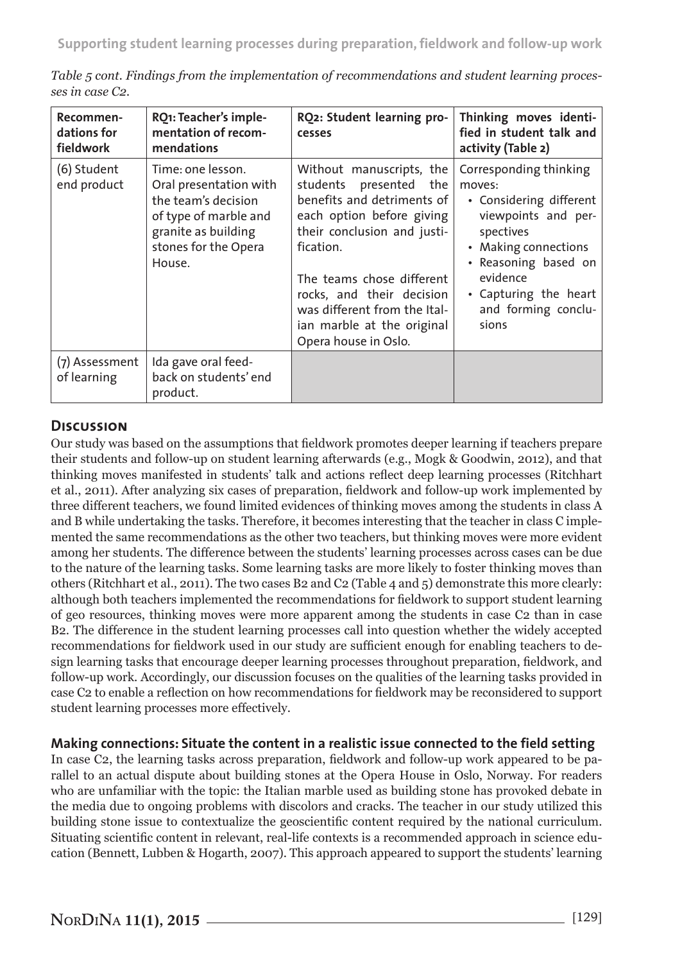| Recommen-<br>dations for<br>fieldwork | RQ1: Teacher's imple-<br>mentation of recom-<br>mendations                                                                                           | RQ2: Student learning pro-<br>cesses                                                                                                                                                                                                                                                                      | Thinking moves identi-<br>fied in student talk and<br>activity (Table 2)                                                                                                                                             |
|---------------------------------------|------------------------------------------------------------------------------------------------------------------------------------------------------|-----------------------------------------------------------------------------------------------------------------------------------------------------------------------------------------------------------------------------------------------------------------------------------------------------------|----------------------------------------------------------------------------------------------------------------------------------------------------------------------------------------------------------------------|
| (6) Student<br>end product            | Time: one lesson.<br>Oral presentation with<br>the team's decision<br>of type of marble and<br>granite as building<br>stones for the Opera<br>House. | Without manuscripts, the<br>students presented the<br>benefits and detriments of<br>each option before giving<br>their conclusion and justi-<br>fication.<br>The teams chose different<br>rocks, and their decision<br>was different from the Ital-<br>ian marble at the original<br>Opera house in Oslo. | Corresponding thinking<br>moves:<br>• Considering different<br>viewpoints and per-<br>spectives<br>• Making connections<br>• Reasoning based on<br>evidence<br>• Capturing the heart<br>and forming conclu-<br>sions |
| (7) Assessment<br>of learning         | Ida gave oral feed-<br>back on students' end<br>product.                                                                                             |                                                                                                                                                                                                                                                                                                           |                                                                                                                                                                                                                      |

*Table 5 cont. Findings from the implementation of recommendations and student learning processes in case C2.*

# **Discussion**

Our study was based on the assumptions that fieldwork promotes deeper learning if teachers prepare their students and follow-up on student learning afterwards (e.g., Mogk & Goodwin, 2012), and that thinking moves manifested in students' talk and actions reflect deep learning processes (Ritchhart et al., 2011). After analyzing six cases of preparation, fieldwork and follow-up work implemented by three different teachers, we found limited evidences of thinking moves among the students in class A and B while undertaking the tasks. Therefore, it becomes interesting that the teacher in class C implemented the same recommendations as the other two teachers, but thinking moves were more evident among her students. The difference between the students' learning processes across cases can be due to the nature of the learning tasks. Some learning tasks are more likely to foster thinking moves than others (Ritchhart et al., 2011). The two cases B2 and C2 (Table 4 and 5) demonstrate this more clearly: although both teachers implemented the recommendations for fieldwork to support student learning of geo resources, thinking moves were more apparent among the students in case C2 than in case B2. The difference in the student learning processes call into question whether the widely accepted recommendations for fieldwork used in our study are sufficient enough for enabling teachers to design learning tasks that encourage deeper learning processes throughout preparation, fieldwork, and follow-up work. Accordingly, our discussion focuses on the qualities of the learning tasks provided in case C2 to enable a reflection on how recommendations for fieldwork may be reconsidered to support student learning processes more effectively.

#### **Making connections: Situate the content in a realistic issue connected to the field setting**

In case C2, the learning tasks across preparation, fieldwork and follow-up work appeared to be parallel to an actual dispute about building stones at the Opera House in Oslo, Norway. For readers who are unfamiliar with the topic: the Italian marble used as building stone has provoked debate in the media due to ongoing problems with discolors and cracks. The teacher in our study utilized this building stone issue to contextualize the geoscientific content required by the national curriculum. Situating scientific content in relevant, real-life contexts is a recommended approach in science education (Bennett, Lubben & Hogarth, 2007). This approach appeared to support the students' learning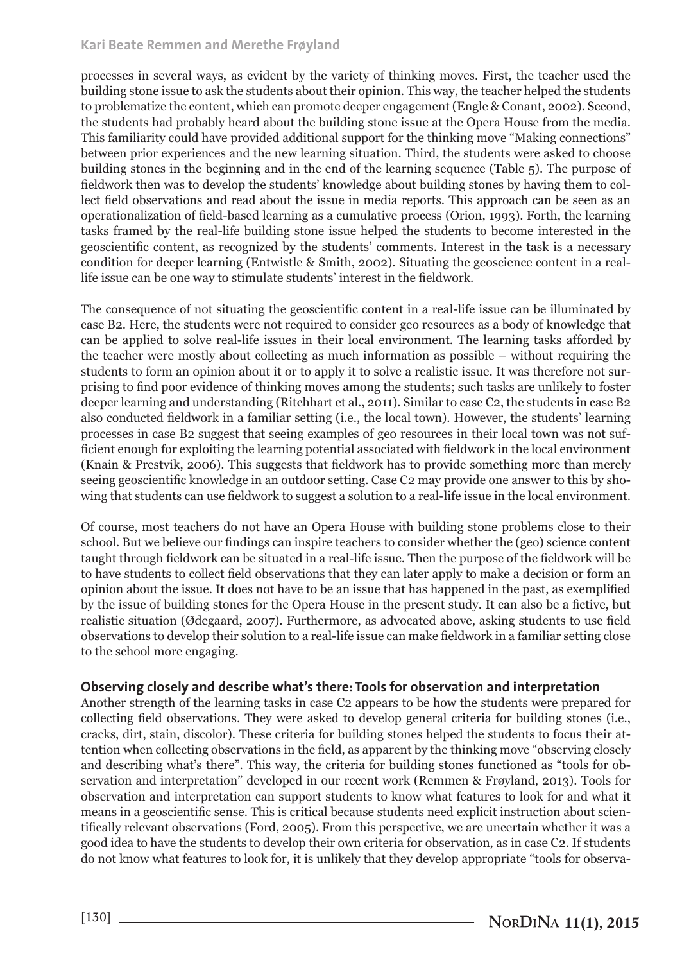#### **Kari Beate Remmen and Merethe Frøyland**

processes in several ways, as evident by the variety of thinking moves. First, the teacher used the building stone issue to ask the students about their opinion. This way, the teacher helped the students to problematize the content, which can promote deeper engagement (Engle & Conant, 2002). Second, the students had probably heard about the building stone issue at the Opera House from the media. This familiarity could have provided additional support for the thinking move "Making connections" between prior experiences and the new learning situation. Third, the students were asked to choose building stones in the beginning and in the end of the learning sequence (Table 5). The purpose of fieldwork then was to develop the students' knowledge about building stones by having them to collect field observations and read about the issue in media reports. This approach can be seen as an operationalization of field-based learning as a cumulative process (Orion, 1993). Forth, the learning tasks framed by the real-life building stone issue helped the students to become interested in the geoscientific content, as recognized by the students' comments. Interest in the task is a necessary condition for deeper learning (Entwistle & Smith, 2002). Situating the geoscience content in a reallife issue can be one way to stimulate students' interest in the fieldwork.

The consequence of not situating the geoscientific content in a real-life issue can be illuminated by case B2. Here, the students were not required to consider geo resources as a body of knowledge that can be applied to solve real-life issues in their local environment. The learning tasks afforded by the teacher were mostly about collecting as much information as possible – without requiring the students to form an opinion about it or to apply it to solve a realistic issue. It was therefore not surprising to find poor evidence of thinking moves among the students; such tasks are unlikely to foster deeper learning and understanding (Ritchhart et al., 2011). Similar to case C2, the students in case B2 also conducted fieldwork in a familiar setting (i.e., the local town). However, the students' learning processes in case B2 suggest that seeing examples of geo resources in their local town was not sufficient enough for exploiting the learning potential associated with fieldwork in the local environment (Knain & Prestvik, 2006). This suggests that fieldwork has to provide something more than merely seeing geoscientific knowledge in an outdoor setting. Case C2 may provide one answer to this by showing that students can use fieldwork to suggest a solution to a real-life issue in the local environment.

Of course, most teachers do not have an Opera House with building stone problems close to their school. But we believe our findings can inspire teachers to consider whether the (geo) science content taught through fieldwork can be situated in a real-life issue. Then the purpose of the fieldwork will be to have students to collect field observations that they can later apply to make a decision or form an opinion about the issue. It does not have to be an issue that has happened in the past, as exemplified by the issue of building stones for the Opera House in the present study. It can also be a fictive, but realistic situation (Ødegaard, 2007). Furthermore, as advocated above, asking students to use field observations to develop their solution to a real-life issue can make fieldwork in a familiar setting close to the school more engaging.

#### **Observing closely and describe what's there: Tools for observation and interpretation**

Another strength of the learning tasks in case C2 appears to be how the students were prepared for collecting field observations. They were asked to develop general criteria for building stones (i.e., cracks, dirt, stain, discolor). These criteria for building stones helped the students to focus their attention when collecting observations in the field, as apparent by the thinking move "observing closely and describing what's there". This way, the criteria for building stones functioned as "tools for observation and interpretation" developed in our recent work (Remmen & Frøyland, 2013). Tools for observation and interpretation can support students to know what features to look for and what it means in a geoscientific sense. This is critical because students need explicit instruction about scientifically relevant observations (Ford, 2005). From this perspective, we are uncertain whether it was a good idea to have the students to develop their own criteria for observation, as in case C2. If students do not know what features to look for, it is unlikely that they develop appropriate "tools for observa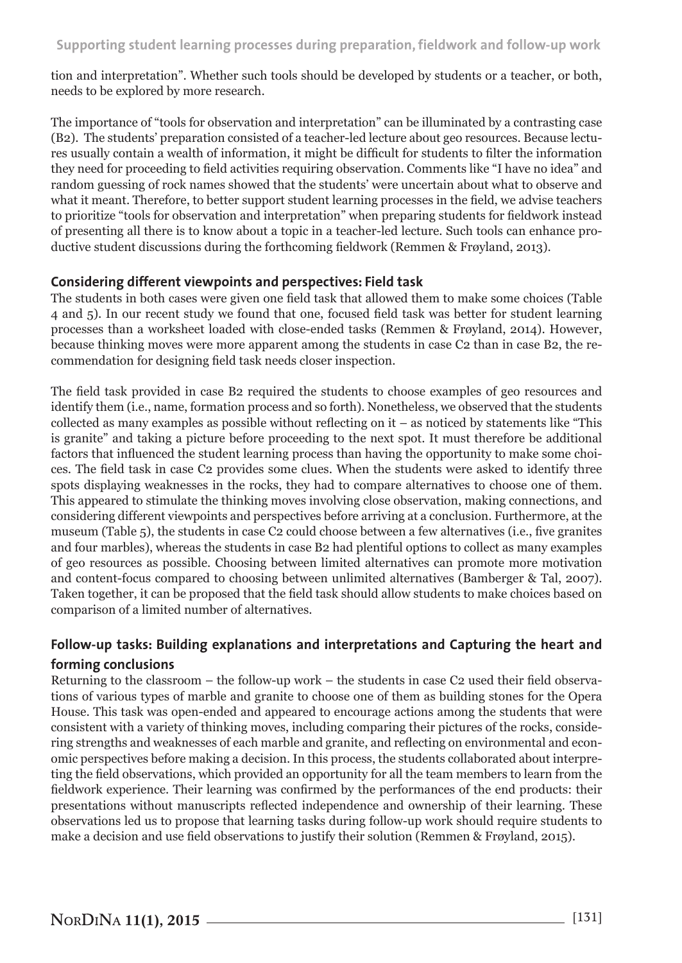tion and interpretation". Whether such tools should be developed by students or a teacher, or both, needs to be explored by more research.

The importance of "tools for observation and interpretation" can be illuminated by a contrasting case (B2). The students' preparation consisted of a teacher-led lecture about geo resources. Because lectures usually contain a wealth of information, it might be difficult for students to filter the information they need for proceeding to field activities requiring observation. Comments like "I have no idea" and random guessing of rock names showed that the students' were uncertain about what to observe and what it meant. Therefore, to better support student learning processes in the field, we advise teachers to prioritize "tools for observation and interpretation" when preparing students for fieldwork instead of presenting all there is to know about a topic in a teacher-led lecture. Such tools can enhance productive student discussions during the forthcoming fieldwork (Remmen & Frøyland, 2013).

#### **Considering different viewpoints and perspectives: Field task**

The students in both cases were given one field task that allowed them to make some choices (Table 4 and 5). In our recent study we found that one, focused field task was better for student learning processes than a worksheet loaded with close-ended tasks (Remmen & Frøyland, 2014). However, because thinking moves were more apparent among the students in case C2 than in case B2, the recommendation for designing field task needs closer inspection.

The field task provided in case B2 required the students to choose examples of geo resources and identify them (i.e., name, formation process and so forth). Nonetheless, we observed that the students collected as many examples as possible without reflecting on it – as noticed by statements like "This is granite" and taking a picture before proceeding to the next spot. It must therefore be additional factors that influenced the student learning process than having the opportunity to make some choices. The field task in case C2 provides some clues. When the students were asked to identify three spots displaying weaknesses in the rocks, they had to compare alternatives to choose one of them. This appeared to stimulate the thinking moves involving close observation, making connections, and considering different viewpoints and perspectives before arriving at a conclusion. Furthermore, at the museum (Table 5), the students in case C2 could choose between a few alternatives (i.e., five granites and four marbles), whereas the students in case B2 had plentiful options to collect as many examples of geo resources as possible. Choosing between limited alternatives can promote more motivation and content-focus compared to choosing between unlimited alternatives (Bamberger & Tal, 2007). Taken together, it can be proposed that the field task should allow students to make choices based on comparison of a limited number of alternatives.

# **Follow-up tasks: Building explanations and interpretations and Capturing the heart and forming conclusions**

Returning to the classroom – the follow-up work – the students in case C2 used their field observations of various types of marble and granite to choose one of them as building stones for the Opera House. This task was open-ended and appeared to encourage actions among the students that were consistent with a variety of thinking moves, including comparing their pictures of the rocks, considering strengths and weaknesses of each marble and granite, and reflecting on environmental and economic perspectives before making a decision. In this process, the students collaborated about interpreting the field observations, which provided an opportunity for all the team members to learn from the fieldwork experience. Their learning was confirmed by the performances of the end products: their presentations without manuscripts reflected independence and ownership of their learning. These observations led us to propose that learning tasks during follow-up work should require students to make a decision and use field observations to justify their solution (Remmen & Frøyland, 2015).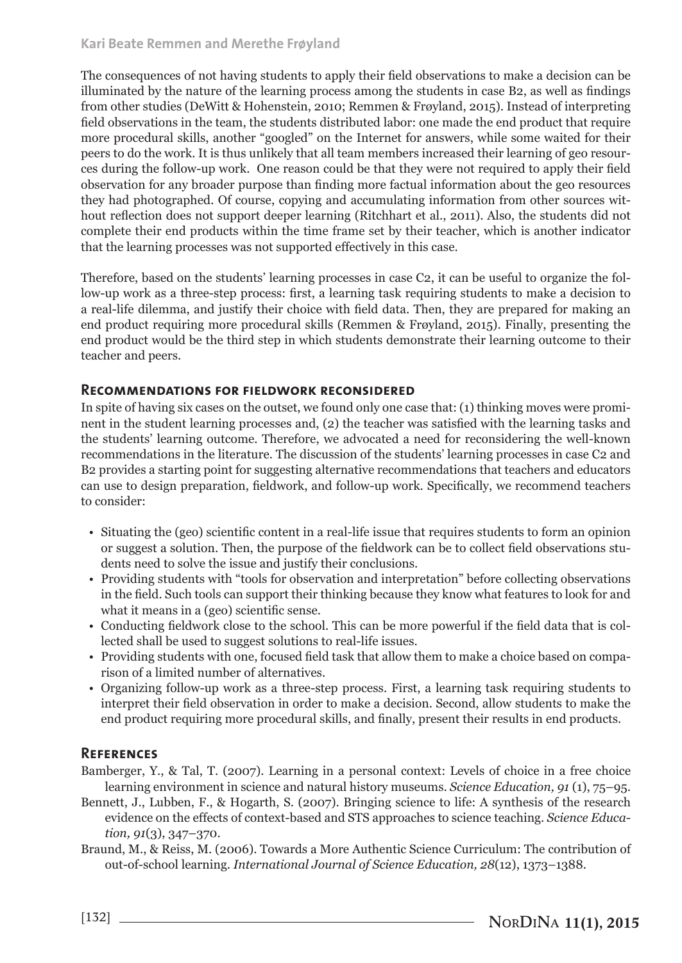The consequences of not having students to apply their field observations to make a decision can be illuminated by the nature of the learning process among the students in case B2, as well as findings from other studies (DeWitt & Hohenstein, 2010; Remmen & Frøyland, 2015). Instead of interpreting field observations in the team, the students distributed labor: one made the end product that require more procedural skills, another "googled" on the Internet for answers, while some waited for their peers to do the work. It is thus unlikely that all team members increased their learning of geo resources during the follow-up work. One reason could be that they were not required to apply their field observation for any broader purpose than finding more factual information about the geo resources they had photographed. Of course, copying and accumulating information from other sources without reflection does not support deeper learning (Ritchhart et al., 2011). Also, the students did not complete their end products within the time frame set by their teacher, which is another indicator that the learning processes was not supported effectively in this case.

Therefore, based on the students' learning processes in case C2, it can be useful to organize the follow-up work as a three-step process: first, a learning task requiring students to make a decision to a real-life dilemma, and justify their choice with field data. Then, they are prepared for making an end product requiring more procedural skills (Remmen & Frøyland, 2015). Finally, presenting the end product would be the third step in which students demonstrate their learning outcome to their teacher and peers.

#### **Recommendations for fieldwork reconsidered**

In spite of having six cases on the outset, we found only one case that: (1) thinking moves were prominent in the student learning processes and, (2) the teacher was satisfied with the learning tasks and the students' learning outcome. Therefore, we advocated a need for reconsidering the well-known recommendations in the literature. The discussion of the students' learning processes in case C2 and B2 provides a starting point for suggesting alternative recommendations that teachers and educators can use to design preparation, fieldwork, and follow-up work. Specifically, we recommend teachers to consider:

- Situating the (geo) scientific content in a real-life issue that requires students to form an opinion or suggest a solution. Then, the purpose of the fieldwork can be to collect field observations students need to solve the issue and justify their conclusions.
- Providing students with "tools for observation and interpretation" before collecting observations in the field. Such tools can support their thinking because they know what features to look for and what it means in a (geo) scientific sense.
- Conducting fieldwork close to the school. This can be more powerful if the field data that is collected shall be used to suggest solutions to real-life issues.
- Providing students with one, focused field task that allow them to make a choice based on comparison of a limited number of alternatives.
- Organizing follow-up work as a three-step process. First, a learning task requiring students to interpret their field observation in order to make a decision. Second, allow students to make the end product requiring more procedural skills, and finally, present their results in end products.

## **References**

Bamberger, Y., & Tal, T. (2007). Learning in a personal context: Levels of choice in a free choice learning environment in science and natural history museums. *Science Education, 91* (1), 75–95.

- Bennett, J., Lubben, F., & Hogarth, S. (2007). Bringing science to life: A synthesis of the research evidence on the effects of context-based and STS approaches to science teaching. *Science Education, 91*(3), 347–370.
- Braund, M., & Reiss, M. (2006). Towards a More Authentic Science Curriculum: The contribution of out-of-school learning. *International Journal of Science Education, 28*(12), 1373–1388.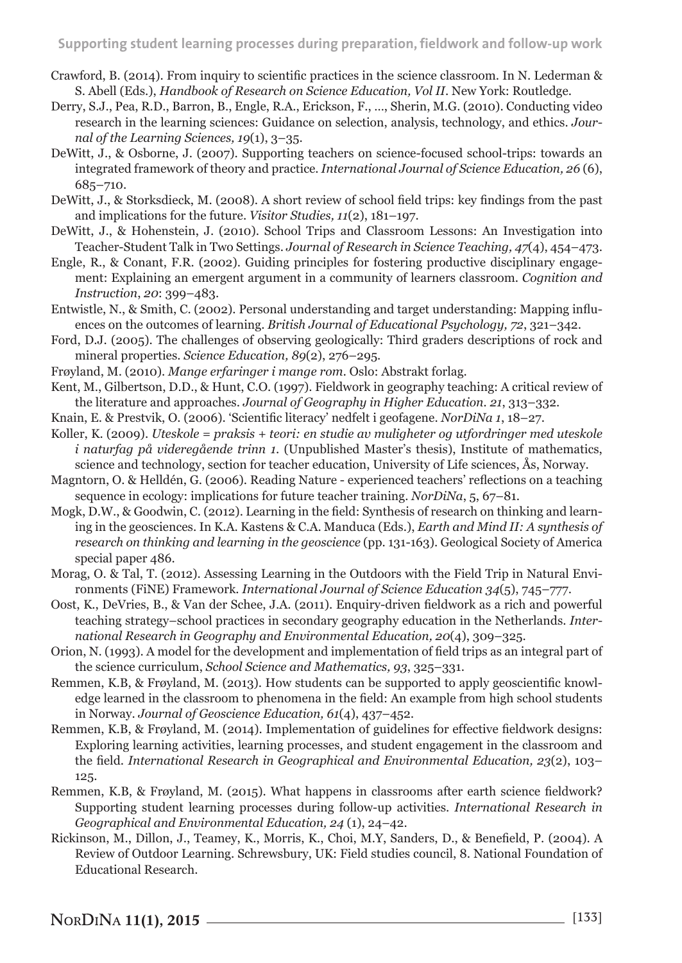- Crawford, B. (2014). From inquiry to scientific practices in the science classroom. In N. Lederman & S. Abell (Eds.), *Handbook of Research on Science Education, Vol II*. New York: Routledge.
- Derry, S.J., Pea, R.D., Barron, B., Engle, R.A., Erickson, F., …, Sherin, M.G. (2010). Conducting video research in the learning sciences: Guidance on selection, analysis, technology, and ethics. *Journal of the Learning Sciences, 19*(1), 3–35.
- DeWitt, J., & Osborne, J. (2007). Supporting teachers on science-focused school-trips: towards an integrated framework of theory and practice. *International Journal of Science Education, 26* (6), 685–710.
- DeWitt, J., & Storksdieck, M. (2008). A short review of school field trips: key findings from the past and implications for the future. *Visitor Studies, 11*(2), 181–197.
- DeWitt, J., & Hohenstein, J. (2010). School Trips and Classroom Lessons: An Investigation into Teacher-Student Talk in Two Settings. *Journal of Research in Science Teaching, 47*(4), 454–473.
- Engle, R., & Conant, F.R. (2002). Guiding principles for fostering productive disciplinary engagement: Explaining an emergent argument in a community of learners classroom. *Cognition and Instruction*, *20*: 399–483.
- Entwistle, N., & Smith, C. (2002). Personal understanding and target understanding: Mapping influences on the outcomes of learning. *British Journal of Educational Psychology, 72*, 321–342.
- Ford, D.J. (2005). The challenges of observing geologically: Third graders descriptions of rock and mineral properties. *Science Education, 89*(2), 276–295.
- Frøyland, M. (2010). *Mange erfaringer i mange rom.* Oslo: Abstrakt forlag.
- Kent, M., Gilbertson, D.D., & Hunt, C.O. (1997). Fieldwork in geography teaching: A critical review of the literature and approaches. *Journal of Geography in Higher Education. 21*, 313–332.
- Knain, E. & Prestvik, O. (2006). 'Scientific literacy' nedfelt i geofagene. *NorDiNa 1*, 18–27.
- Koller, K. (2009). *Uteskole = praksis + teori: en studie av muligheter og utfordringer med uteskole i naturfag på videregående trinn 1*. (Unpublished Master's thesis), Institute of mathematics, science and technology, section for teacher education, University of Life sciences, Ås, Norway.
- Magntorn, O. & Helldén, G. (2006). Reading Nature experienced teachers' reflections on a teaching sequence in ecology: implications for future teacher training. *NorDiNa*, 5, 67–81.
- Mogk, D.W., & Goodwin, C. (2012). Learning in the field: Synthesis of research on thinking and learning in the geosciences. In K.A. Kastens & C.A. Manduca (Eds.), *Earth and Mind II: A synthesis of research on thinking and learning in the geoscience* (pp. 131-163). Geological Society of America special paper 486.
- Morag, O. & Tal, T. (2012). Assessing Learning in the Outdoors with the Field Trip in Natural Environments (FiNE) Framework. *International Journal of Science Education 34*(5), 745–777.
- Oost, K., DeVries, B., & Van der Schee, J.A. (2011). Enquiry-driven fieldwork as a rich and powerful teaching strategy–school practices in secondary geography education in the Netherlands. *International Research in Geography and Environmental Education, 20*(4), 309–325.
- Orion, N. (1993). A model for the development and implementation of field trips as an integral part of the science curriculum, *School Science and Mathematics, 93*, 325–331.
- Remmen, K.B, & Frøyland, M. (2013). How students can be supported to apply geoscientific knowledge learned in the classroom to phenomena in the field: An example from high school students in Norway. *Journal of Geoscience Education, 61*(4), 437–452*.*
- Remmen, K.B, & Frøyland, M. (2014). Implementation of guidelines for effective fieldwork designs: Exploring learning activities, learning processes, and student engagement in the classroom and the field. *International Research in Geographical and Environmental Education, 23*(2), 103– 125.
- Remmen, K.B, & Frøyland, M. (2015). What happens in classrooms after earth science fieldwork? Supporting student learning processes during follow-up activities. *International Research in Geographical and Environmental Education, 24* (1), 24–42.
- Rickinson, M., Dillon, J., Teamey, K., Morris, K., Choi, M.Y, Sanders, D., & Benefield, P. (2004). A Review of Outdoor Learning. Schrewsbury, UK: Field studies council, 8. National Foundation of Educational Research.